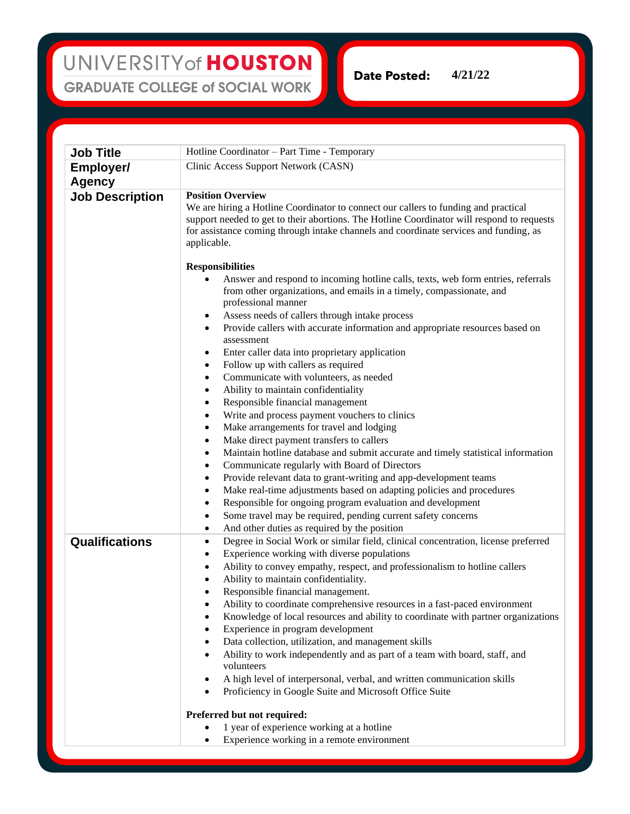**4/21/22Date Posted:** 

| <b>Job Title</b>           | Hotline Coordinator - Part Time - Temporary                                                                                                                                                                                                                                                                                                                                                                                                                                                                                                                                                                                                                                                                                                                                                                                                                                                                                                                                                                                                                                                                                                                                |
|----------------------------|----------------------------------------------------------------------------------------------------------------------------------------------------------------------------------------------------------------------------------------------------------------------------------------------------------------------------------------------------------------------------------------------------------------------------------------------------------------------------------------------------------------------------------------------------------------------------------------------------------------------------------------------------------------------------------------------------------------------------------------------------------------------------------------------------------------------------------------------------------------------------------------------------------------------------------------------------------------------------------------------------------------------------------------------------------------------------------------------------------------------------------------------------------------------------|
| Employer/<br><b>Agency</b> | Clinic Access Support Network (CASN)                                                                                                                                                                                                                                                                                                                                                                                                                                                                                                                                                                                                                                                                                                                                                                                                                                                                                                                                                                                                                                                                                                                                       |
| <b>Job Description</b>     | <b>Position Overview</b><br>We are hiring a Hotline Coordinator to connect our callers to funding and practical<br>support needed to get to their abortions. The Hotline Coordinator will respond to requests<br>for assistance coming through intake channels and coordinate services and funding, as<br>applicable.                                                                                                                                                                                                                                                                                                                                                                                                                                                                                                                                                                                                                                                                                                                                                                                                                                                      |
|                            | <b>Responsibilities</b><br>Answer and respond to incoming hotline calls, texts, web form entries, referrals<br>from other organizations, and emails in a timely, compassionate, and<br>professional manner<br>Assess needs of callers through intake process<br>$\bullet$<br>Provide callers with accurate information and appropriate resources based on<br>$\bullet$<br>assessment<br>Enter caller data into proprietary application<br>٠<br>Follow up with callers as required<br>٠<br>Communicate with volunteers, as needed<br>$\bullet$<br>Ability to maintain confidentiality<br>$\bullet$<br>Responsible financial management<br>٠<br>Write and process payment vouchers to clinics<br>٠<br>Make arrangements for travel and lodging<br>٠<br>Make direct payment transfers to callers<br>٠<br>Maintain hotline database and submit accurate and timely statistical information<br>٠<br>Communicate regularly with Board of Directors<br>٠<br>Provide relevant data to grant-writing and app-development teams<br>٠<br>Make real-time adjustments based on adapting policies and procedures<br>٠<br>Responsible for ongoing program evaluation and development<br>٠ |
|                            | Some travel may be required, pending current safety concerns<br>٠<br>And other duties as required by the position<br>٠<br>Degree in Social Work or similar field, clinical concentration, license preferred<br>$\bullet$                                                                                                                                                                                                                                                                                                                                                                                                                                                                                                                                                                                                                                                                                                                                                                                                                                                                                                                                                   |
| <b>Qualifications</b>      | Experience working with diverse populations<br>$\bullet$<br>Ability to convey empathy, respect, and professionalism to hotline callers<br>Ability to maintain confidentiality.<br>$\bullet$<br>Responsible financial management.<br>Ability to coordinate comprehensive resources in a fast-paced environment<br>Knowledge of local resources and ability to coordinate with partner organizations<br>Experience in program development<br>Data collection, utilization, and management skills<br>Ability to work independently and as part of a team with board, staff, and<br>volunteers<br>A high level of interpersonal, verbal, and written communication skills<br>Proficiency in Google Suite and Microsoft Office Suite                                                                                                                                                                                                                                                                                                                                                                                                                                            |
|                            | Preferred but not required:                                                                                                                                                                                                                                                                                                                                                                                                                                                                                                                                                                                                                                                                                                                                                                                                                                                                                                                                                                                                                                                                                                                                                |
|                            | 1 year of experience working at a hotline                                                                                                                                                                                                                                                                                                                                                                                                                                                                                                                                                                                                                                                                                                                                                                                                                                                                                                                                                                                                                                                                                                                                  |
|                            | Experience working in a remote environment                                                                                                                                                                                                                                                                                                                                                                                                                                                                                                                                                                                                                                                                                                                                                                                                                                                                                                                                                                                                                                                                                                                                 |